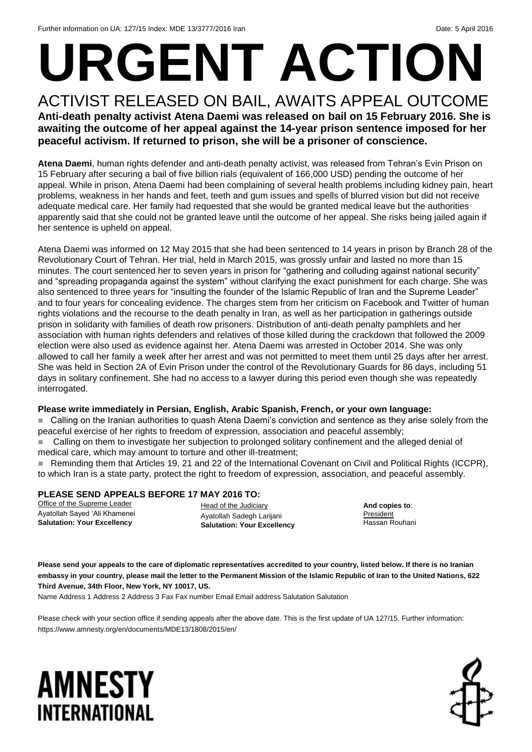# **URGENT ACTION**

#### ACTIVIST RELEASED ON BAIL, AWAITS APPEAL OUTCOME **Anti-death penalty activist Atena Daemi was released on bail on 15 February 2016. She is awaiting the outcome of her appeal against the 14-year prison sentence imposed for her peaceful activism. If returned to prison, she will be a prisoner of conscience.**

**Atena Daemi**, human rights defender and anti-death penalty activist, was released from Tehran's Evin Prison on 15 February after securing a bail of five billion rials (equivalent of 166,000 USD) pending the outcome of her appeal. While in prison, Atena Daemi had been complaining of several health problems including kidney pain, heart problems, weakness in her hands and feet, teeth and gum issues and spells of blurred vision but did not receive adequate medical care. Her family had requested that she would be granted medical leave but the authorities apparently said that she could not be granted leave until the outcome of her appeal. She risks being jailed again if her sentence is upheld on appeal.

Atena Daemi was informed on 12 May 2015 that she had been sentenced to 14 years in prison by Branch 28 of the Revolutionary Court of Tehran. Her trial, held in March 2015, was grossly unfair and lasted no more than 15 minutes. The court sentenced her to seven years in prison for "gathering and colluding against national security" and "spreading propaganda against the system" without clarifying the exact punishment for each charge. She was also sentenced to three years for "insulting the founder of the Islamic Republic of Iran and the Supreme Leader" and to four years for concealing evidence. The charges stem from her criticism on Facebook and Twitter of human rights violations and the recourse to the death penalty in Iran, as well as her participation in gatherings outside prison in solidarity with families of death row prisoners. Distribution of anti-death penalty pamphlets and her association with human rights defenders and relatives of those killed during the crackdown that followed the 2009 election were also used as evidence against her. Atena Daemi was arrested in October 2014. She was only allowed to call her family a week after her arrest and was not permitted to meet them until 25 days after her arrest. She was held in Section 2A of Evin Prison under the control of the Revolutionary Guards for 86 days, including 51 days in solitary confinement. She had no access to a lawyer during this period even though she was repeatedly interrogated.

#### **Please write immediately in Persian, English, Arabic Spanish, French, or your own language:**

 Calling on the Iranian authorities to quash Atena Daemi's conviction and sentence as they arise solely from the peaceful exercise of her rights to freedom of expression, association and peaceful assembly;

 Calling on them to investigate her subjection to prolonged solitary confinement and the alleged denial of medical care, which may amount to torture and other ill-treatment;

■ Reminding them that Articles 19, 21 and 22 of the International Covenant on Civil and Political Rights (ICCPR), to which Iran is a state party, protect the right to freedom of expression, association, and peaceful assembly.

#### **PLEASE SEND APPEALS BEFORE 17 MAY 2016 TO:**

Office of the Supreme Leader Ayatollah Sayed 'Ali Khamenei **Salutation: Your Excellency**

Head of the Judiciary Ayatollah Sadegh Larijani **Salutation: Your Excellency**

**And copies to**: President Hassan Rouhani

**Please send your appeals to the care of diplomatic representatives accredited to your country, listed below. If there is no Iranian embassy in your country, please mail the letter to the Permanent Mission of the Islamic Republic of Iran to the United Nations, 622 Third Avenue, 34th Floor, New York, NY 10017, US.**

Name Address 1 Address 2 Address 3 Fax Fax number Email Email address Salutation Salutation

Please check with your section office if sending appeals after the above date. This is the first update of UA 127/15. Further information: https://www.amnesty.org/en/documents/MDE13/1808/2015/en/